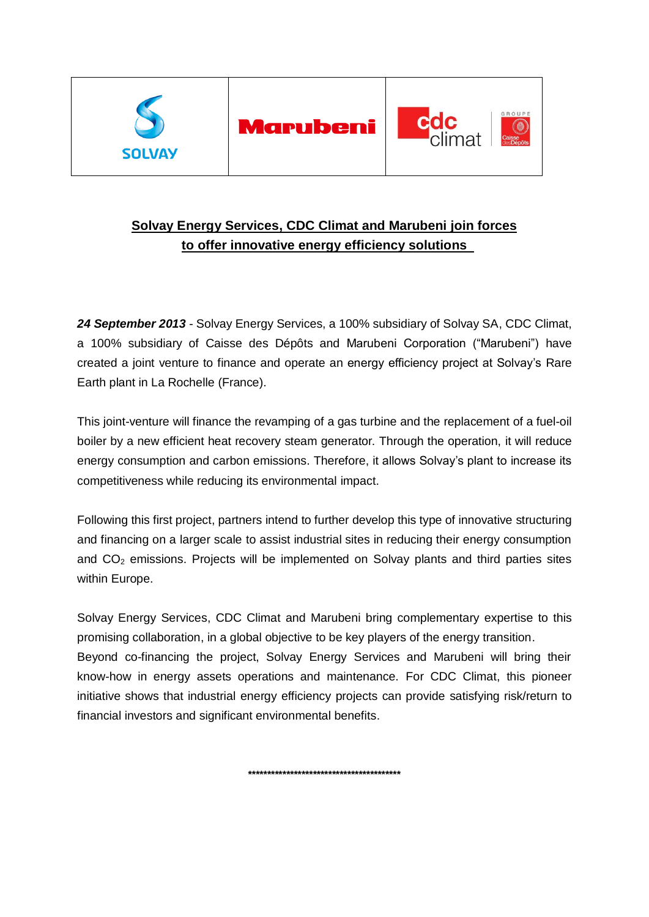

# **Solvay Energy Services, CDC Climat and Marubeni join forces to offer innovative energy efficiency solutions**

*24 September 2013* - Solvay Energy Services, a 100% subsidiary of Solvay SA, CDC Climat, a 100% subsidiary of Caisse des Dépôts and Marubeni Corporation ("Marubeni") have created a joint venture to finance and operate an energy efficiency project at Solvay's Rare Earth plant in La Rochelle (France).

This joint-venture will finance the revamping of a gas turbine and the replacement of a fuel-oil boiler by a new efficient heat recovery steam generator. Through the operation, it will reduce energy consumption and carbon emissions. Therefore, it allows Solvay's plant to increase its competitiveness while reducing its environmental impact.

Following this first project, partners intend to further develop this type of innovative structuring and financing on a larger scale to assist industrial sites in reducing their energy consumption and  $CO<sub>2</sub>$  emissions. Projects will be implemented on Solvay plants and third parties sites within Europe.

Solvay Energy Services, CDC Climat and Marubeni bring complementary expertise to this promising collaboration, in a global objective to be key players of the energy transition. Beyond co-financing the project, Solvay Energy Services and Marubeni will bring their know-how in energy assets operations and maintenance. For CDC Climat, this pioneer initiative shows that industrial energy efficiency projects can provide satisfying risk/return to financial investors and significant environmental benefits.

**\*\*\*\*\*\*\*\*\*\*\*\*\*\*\*\*\*\*\*\*\*\*\*\*\*\*\*\*\*\*\*\*\*\*\*\*\*\*\*\***